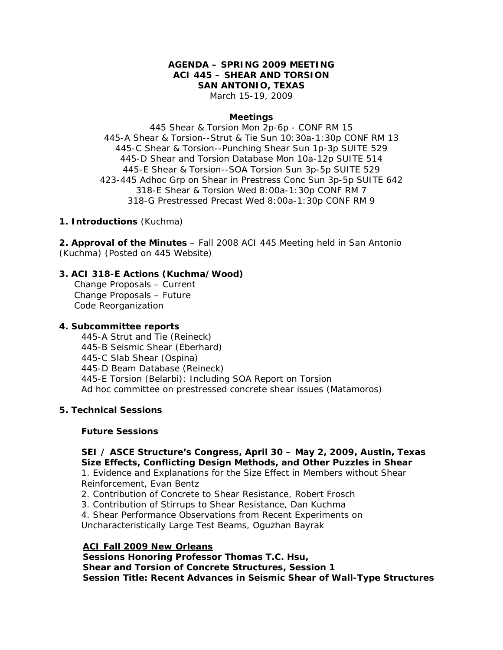# **AGENDA – SPRING 2009 MEETING ACI 445 – SHEAR AND TORSION SAN ANTONIO, TEXAS**

March 15-19, 2009

#### **Meetings**

445 Shear & Torsion Mon 2p-6p - CONF RM 15 445-A Shear & Torsion--Strut & Tie Sun 10:30a-1:30p CONF RM 13 445-C Shear & Torsion--Punching Shear Sun 1p-3p SUITE 529 445-D Shear and Torsion Database Mon 10a-12p SUITE 514 445-E Shear & Torsion--SOA Torsion Sun 3p-5p SUITE 529 423-445 Adhoc Grp on Shear in Prestress Conc Sun 3p-5p SUITE 642 318-E Shear & Torsion Wed 8:00a-1:30p CONF RM 7 318-G Prestressed Precast Wed 8:00a-1:30p CONF RM 9

## **1. Introductions** (Kuchma)

**2. Approval of the Minutes** – Fall 2008 ACI 445 Meeting held in San Antonio (Kuchma) (Posted on 445 Website)

## **3. ACI 318-E Actions (Kuchma/Wood)**

Change Proposals – Current Change Proposals – Future Code Reorganization

### **4. Subcommittee reports**

 445-A Strut and Tie (Reineck) 445-B Seismic Shear (Eberhard) 445-C Slab Shear (Ospina) 445-D Beam Database (Reineck) 445-E Torsion (Belarbi): Including SOA Report on Torsion Ad hoc committee on prestressed concrete shear issues (Matamoros)

# **5. Technical Sessions**

### **Future Sessions**

# **SEI / ASCE Structure's Congress, April 30 – May 2, 2009, Austin, Texas Size Effects, Conflicting Design Methods, and Other Puzzles in Shear**

1. Evidence and Explanations for the Size Effect in Members without Shear Reinforcement, Evan Bentz

- 2. Contribution of Concrete to Shear Resistance, Robert Frosch
- 3. Contribution of Stirrups to Shear Resistance, Dan Kuchma
- 4. Shear Performance Observations from Recent Experiments on

Uncharacteristically Large Test Beams, Oguzhan Bayrak

# **ACI Fall 2009 New Orleans**

**Sessions Honoring Professor Thomas T.C. Hsu, Shear and Torsion of Concrete Structures, Session 1 Session Title: Recent Advances in Seismic Shear of Wall-Type Structures**